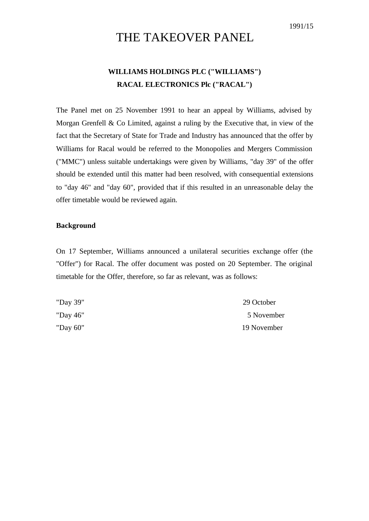## THE TAKEOVER PANEL

## **WILLIAMS HOLDINGS PLC ("WILLIAMS") RACAL ELECTRONICS Plc ("RACAL")**

The Panel met on 25 November 1991 to hear an appeal by Williams, advised by Morgan Grenfell & Co Limited, against a ruling by the Executive that, in view of the fact that the Secretary of State for Trade and Industry has announced that the offer by Williams for Racal would be referred to the Monopolies and Mergers Commission ("MMC") unless suitable undertakings were given by Williams, "day 39" of the offer should be extended until this matter had been resolved, with consequential extensions to "day 46" and "day 60", provided that if this resulted in an unreasonable delay the offer timetable would be reviewed again.

## **Background**

On 17 September, Williams announced a unilateral securities exchange offer (the "Offer") for Racal. The offer document was posted on 20 September. The original timetable for the Offer, therefore, so far as relevant, was as follows:

| "Day 39" | 29 October  |
|----------|-------------|
| "Day 46" | 5 November  |
| "Day 60" | 19 November |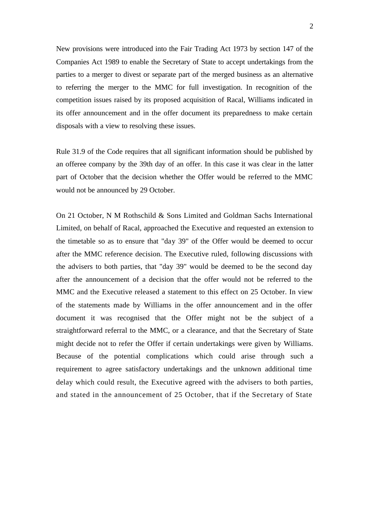New provisions were introduced into the Fair Trading Act 1973 by section 147 of the Companies Act 1989 to enable the Secretary of State to accept undertakings from the parties to a merger to divest or separate part of the merged business as an alternative to referring the merger to the MMC for full investigation. In recognition of the competition issues raised by its proposed acquisition of Racal, Williams indicated in its offer announcement and in the offer document its preparedness to make certain disposals with a view to resolving these issues.

Rule 31.9 of the Code requires that all significant information should be published by an offeree company by the 39th day of an offer. In this case it was clear in the latter part of October that the decision whether the Offer would be referred to the MMC would not be announced by 29 October.

On 21 October, N M Rothschild & Sons Limited and Goldman Sachs International Limited, on behalf of Racal, approached the Executive and requested an extension to the timetable so as to ensure that "day 39" of the Offer would be deemed to occur after the MMC reference decision. The Executive ruled, following discussions with the advisers to both parties, that "day 39" would be deemed to be the second day after the announcement of a decision that the offer would not be referred to the MMC and the Executive released a statement to this effect on 25 October. In view of the statements made by Williams in the offer announcement and in the offer document it was recognised that the Offer might not be the subject of a straightforward referral to the MMC, or a clearance, and that the Secretary of State might decide not to refer the Offer if certain undertakings were given by Williams. Because of the potential complications which could arise through such a requirement to agree satisfactory undertakings and the unknown additional time delay which could result, the Executive agreed with the advisers to both parties, and stated in the announcement of 25 October, that if the Secretary of State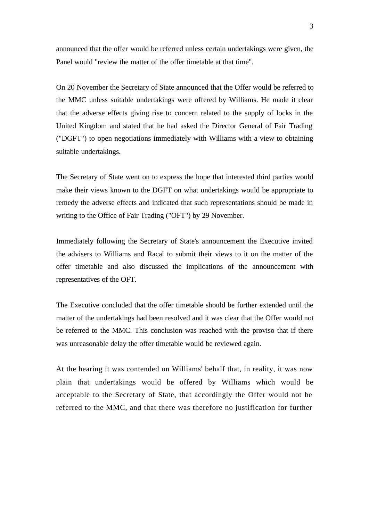announced that the offer would be referred unless certain undertakings were given, the Panel would "review the matter of the offer timetable at that time".

On 20 November the Secretary of State announced that the Offer would be referred to the MMC unless suitable undertakings were offered by Williams. He made it clear that the adverse effects giving rise to concern related to the supply of locks in the United Kingdom and stated that he had asked the Director General of Fair Trading ("DGFT") to open negotiations immediately with Williams with a view to obtaining suitable undertakings.

The Secretary of State went on to express the hope that interested third parties would make their views known to the DGFT on what undertakings would be appropriate to remedy the adverse effects and indicated that such representations should be made in writing to the Office of Fair Trading ("OFT") by 29 November.

Immediately following the Secretary of State's announcement the Executive invited the advisers to Williams and Racal to submit their views to it on the matter of the offer timetable and also discussed the implications of the announcement with representatives of the OFT.

The Executive concluded that the offer timetable should be further extended until the matter of the undertakings had been resolved and it was clear that the Offer would not be referred to the MMC. This conclusion was reached with the proviso that if there was unreasonable delay the offer timetable would be reviewed again.

At the hearing it was contended on Williams' behalf that, in reality, it was now plain that undertakings would be offered by Williams which would be acceptable to the Secretary of State, that accordingly the Offer would not be referred to the MMC, and that there was therefore no justification for further